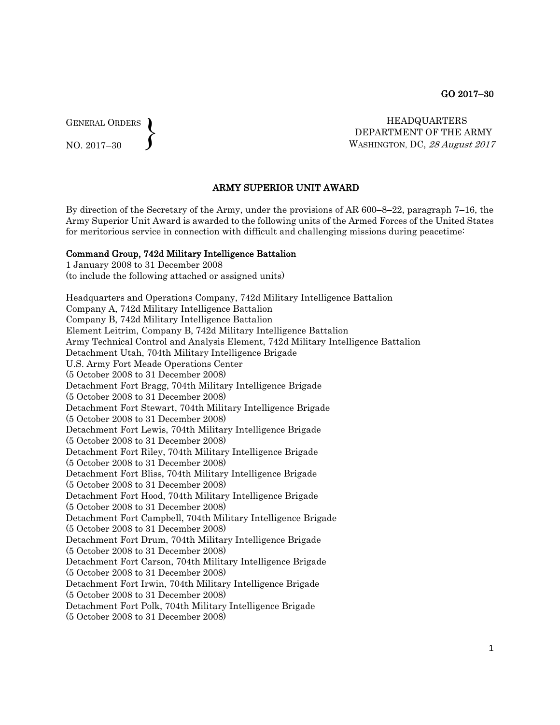GENERAL ORDERS  $\left\{ \right\}$ 

NO. 2017–30

HEADQUARTERS DEPARTMENT OF THE ARMY WASHINGTON, DC, 28 August 2017

## ARMY SUPERIOR UNIT AWARD

By direction of the Secretary of the Army, under the provisions of AR 600–8–22, paragraph 7–16, the Army Superior Unit Award is awarded to the following units of the Armed Forces of the United States for meritorious service in connection with difficult and challenging missions during peacetime:

#### Command Group, 742d Military Intelligence Battalion

1 January 2008 to 31 December 2008 (to include the following attached or assigned units)

Headquarters and Operations Company, 742d Military Intelligence Battalion Company A, 742d Military Intelligence Battalion Company B, 742d Military Intelligence Battalion Element Leitrim, Company B, 742d Military Intelligence Battalion Army Technical Control and Analysis Element, 742d Military Intelligence Battalion Detachment Utah, 704th Military Intelligence Brigade U.S. Army Fort Meade Operations Center (5 October 2008 to 31 December 2008) Detachment Fort Bragg, 704th Military Intelligence Brigade (5 October 2008 to 31 December 2008) Detachment Fort Stewart, 704th Military Intelligence Brigade (5 October 2008 to 31 December 2008) Detachment Fort Lewis, 704th Military Intelligence Brigade (5 October 2008 to 31 December 2008) Detachment Fort Riley, 704th Military Intelligence Brigade (5 October 2008 to 31 December 2008) Detachment Fort Bliss, 704th Military Intelligence Brigade (5 October 2008 to 31 December 2008) Detachment Fort Hood, 704th Military Intelligence Brigade (5 October 2008 to 31 December 2008) Detachment Fort Campbell, 704th Military Intelligence Brigade (5 October 2008 to 31 December 2008) Detachment Fort Drum, 704th Military Intelligence Brigade (5 October 2008 to 31 December 2008) Detachment Fort Carson, 704th Military Intelligence Brigade (5 October 2008 to 31 December 2008) Detachment Fort Irwin, 704th Military Intelligence Brigade (5 October 2008 to 31 December 2008) Detachment Fort Polk, 704th Military Intelligence Brigade

(5 October 2008 to 31 December 2008)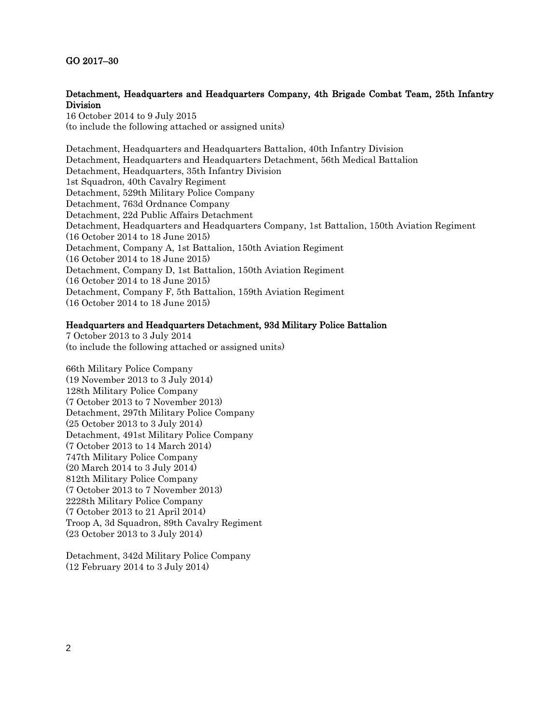## GO 2017–30

## Detachment, Headquarters and Headquarters Company, 4th Brigade Combat Team, 25th Infantry Division

16 October 2014 to 9 July 2015 (to include the following attached or assigned units)

Detachment, Headquarters and Headquarters Battalion, 40th Infantry Division Detachment, Headquarters and Headquarters Detachment, 56th Medical Battalion Detachment, Headquarters, 35th Infantry Division 1st Squadron, 40th Cavalry Regiment Detachment, 529th Military Police Company Detachment, 763d Ordnance Company Detachment, 22d Public Affairs Detachment Detachment, Headquarters and Headquarters Company, 1st Battalion, 150th Aviation Regiment (16 October 2014 to 18 June 2015) Detachment, Company A, 1st Battalion, 150th Aviation Regiment (16 October 2014 to 18 June 2015) Detachment, Company D, 1st Battalion, 150th Aviation Regiment (16 October 2014 to 18 June 2015) Detachment, Company F, 5th Battalion, 159th Aviation Regiment (16 October 2014 to 18 June 2015)

## Headquarters and Headquarters Detachment, 93d Military Police Battalion

7 October 2013 to 3 July 2014 (to include the following attached or assigned units)

66th Military Police Company (19 November 2013 to 3 July 2014) 128th Military Police Company (7 October 2013 to 7 November 2013) Detachment, 297th Military Police Company (25 October 2013 to 3 July 2014) Detachment, 491st Military Police Company (7 October 2013 to 14 March 2014) 747th Military Police Company (20 March 2014 to 3 July 2014) 812th Military Police Company (7 October 2013 to 7 November 2013) 2228th Military Police Company (7 October 2013 to 21 April 2014) Troop A, 3d Squadron, 89th Cavalry Regiment (23 October 2013 to 3 July 2014)

Detachment, 342d Military Police Company (12 February 2014 to 3 July 2014)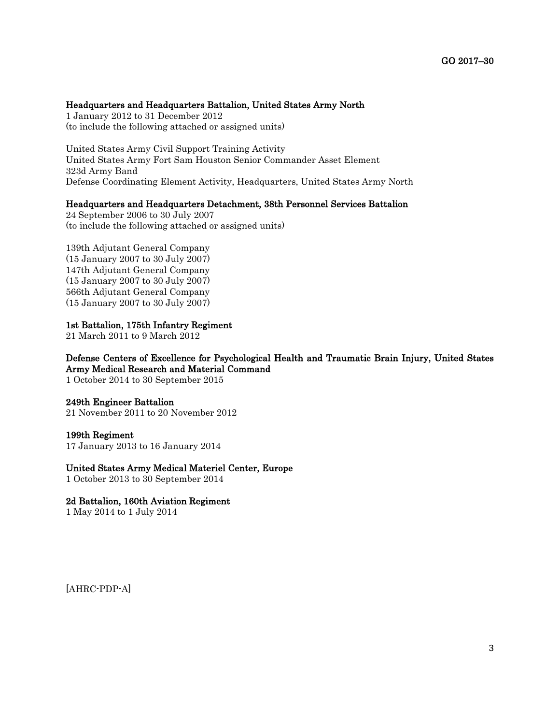## Headquarters and Headquarters Battalion, United States Army North

1 January 2012 to 31 December 2012 (to include the following attached or assigned units)

United States Army Civil Support Training Activity United States Army Fort Sam Houston Senior Commander Asset Element 323d Army Band Defense Coordinating Element Activity, Headquarters, United States Army North

#### Headquarters and Headquarters Detachment, 38th Personnel Services Battalion

24 September 2006 to 30 July 2007 (to include the following attached or assigned units)

139th Adjutant General Company (15 January 2007 to 30 July 2007) 147th Adjutant General Company (15 January 2007 to 30 July 2007) 566th Adjutant General Company (15 January 2007 to 30 July 2007)

#### 1st Battalion, 175th Infantry Regiment

21 March 2011 to 9 March 2012

# Defense Centers of Excellence for Psychological Health and Traumatic Brain Injury, United States Army Medical Research and Material Command

1 October 2014 to 30 September 2015

#### 249th Engineer Battalion

21 November 2011 to 20 November 2012

#### 199th Regiment

17 January 2013 to 16 January 2014

## United States Army Medical Materiel Center, Europe

1 October 2013 to 30 September 2014

### 2d Battalion, 160th Aviation Regiment

1 May 2014 to 1 July 2014

[AHRC-PDP-A]